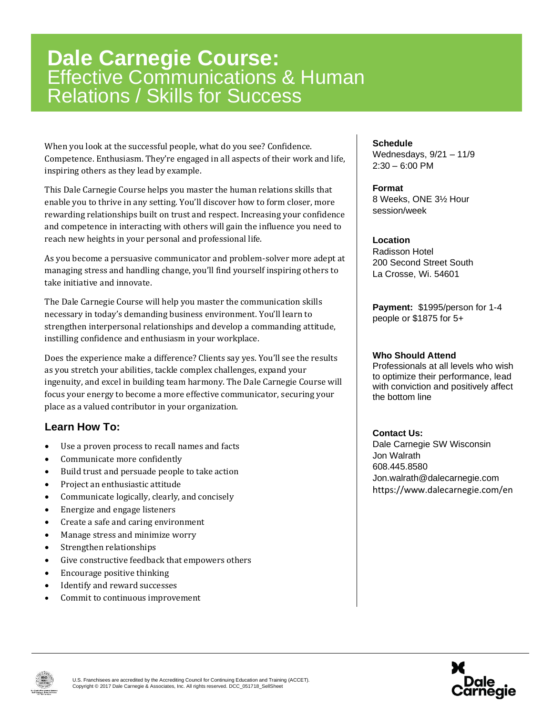## **Dale Carnegie Course:** Effective Communications & Human Relations / Skills for Success

When you look at the successful people, what do you see? Confidence. Competence. Enthusiasm. They're engaged in all aspects of their work and life, inspiring others as they lead by example.

This Dale Carnegie Course helps you master the human relations skills that enable you to thrive in any setting. You'll discover how to form closer, more rewarding relationships built on trust and respect. Increasing your confidence and competence in interacting with others will gain the influence you need to reach new heights in your personal and professional life.

As you become a persuasive communicator and problem-solver more adept at managing stress and handling change, you'll find yourself inspiring others to take initiative and innovate.

The Dale Carnegie Course will help you master the communication skills necessary in today's demanding business environment. You'll learn to strengthen interpersonal relationships and develop a commanding attitude, instilling confidence and enthusiasm in your workplace.

Does the experience make a difference? Clients say yes. You'll see the results as you stretch your abilities, tackle complex challenges, expand your ingenuity, and excel in building team harmony. The Dale Carnegie Course will focus your energy to become a more effective communicator, securing your place as a valued contributor in your organization.

### **Learn How To:**

- Use a proven process to recall names and facts
- Communicate more confidently
- Build trust and persuade people to take action
- Project an enthusiastic attitude
- Communicate logically, clearly, and concisely
- Energize and engage listeners
- Create a safe and caring environment
- Manage stress and minimize worry
- Strengthen relationships
- Give constructive feedback that empowers others
- Encourage positive thinking
- Identify and reward successes
- Commit to continuous improvement

#### **Schedule**

Wednesdays, 9/21 – 11/9  $2:30 - 6:00$  PM

#### **Format**

8 Weeks, ONE 3½ Hour session/week

#### **Location**

Radisson Hotel 200 Second Street South La Crosse, Wi. 54601

**Payment:** \$1995/person for 1-4 people or \$1875 for 5+

#### **Who Should Attend**

Professionals at all levels who wish to optimize their performance, lead with conviction and positively affect the bottom line

#### **Contact Us:**

Dale Carnegie SW Wisconsin Jon Walrath 608.445.8580 Jon.walrath@dalecarnegie.com https://www.dalecarnegie.com/en